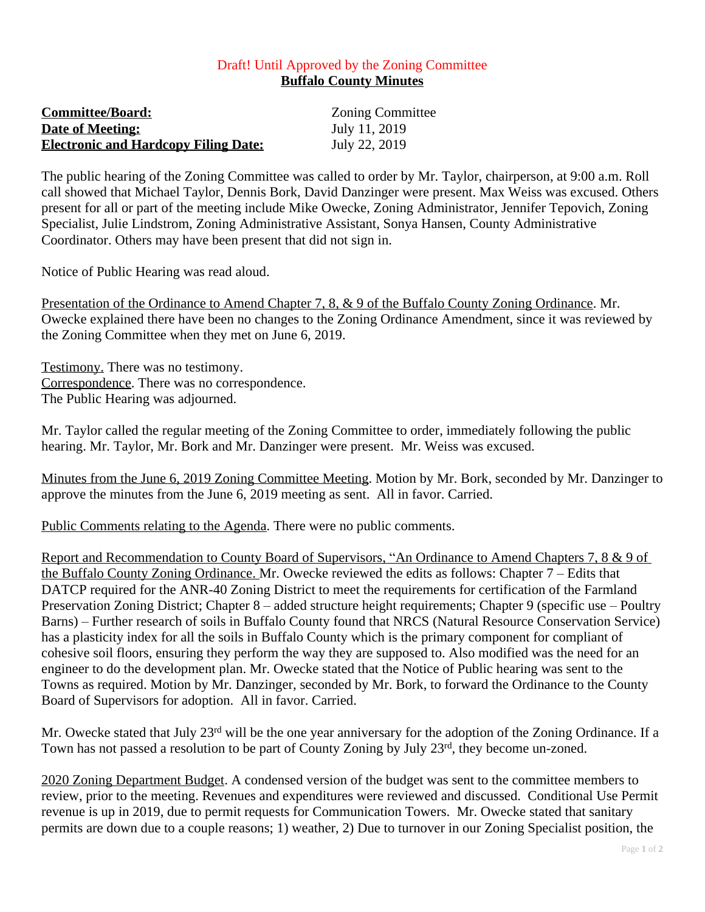## Draft! Until Approved by the Zoning Committee **Buffalo County Minutes**

| <b>Committee/Board:</b>                     | <b>Zoning Committee</b> |
|---------------------------------------------|-------------------------|
| <u><b>Date of Meeting:</b></u>              | July 11, 2019           |
| <b>Electronic and Hardcopy Filing Date:</b> | July 22, 2019           |
|                                             |                         |

The public hearing of the Zoning Committee was called to order by Mr. Taylor, chairperson, at 9:00 a.m. Roll call showed that Michael Taylor, Dennis Bork, David Danzinger were present. Max Weiss was excused. Others present for all or part of the meeting include Mike Owecke, Zoning Administrator, Jennifer Tepovich, Zoning Specialist, Julie Lindstrom, Zoning Administrative Assistant, Sonya Hansen, County Administrative Coordinator. Others may have been present that did not sign in.

Notice of Public Hearing was read aloud.

Presentation of the Ordinance to Amend Chapter 7, 8, & 9 of the Buffalo County Zoning Ordinance. Mr. Owecke explained there have been no changes to the Zoning Ordinance Amendment, since it was reviewed by the Zoning Committee when they met on June 6, 2019.

Testimony. There was no testimony. Correspondence. There was no correspondence. The Public Hearing was adjourned.

Mr. Taylor called the regular meeting of the Zoning Committee to order, immediately following the public hearing. Mr. Taylor, Mr. Bork and Mr. Danzinger were present. Mr. Weiss was excused.

Minutes from the June 6, 2019 Zoning Committee Meeting. Motion by Mr. Bork, seconded by Mr. Danzinger to approve the minutes from the June 6, 2019 meeting as sent. All in favor. Carried.

Public Comments relating to the Agenda. There were no public comments.

Report and Recommendation to County Board of Supervisors, "An Ordinance to Amend Chapters 7, 8 & 9 of the Buffalo County Zoning Ordinance. Mr. Owecke reviewed the edits as follows: Chapter 7 – Edits that DATCP required for the ANR-40 Zoning District to meet the requirements for certification of the Farmland Preservation Zoning District; Chapter 8 – added structure height requirements; Chapter 9 (specific use – Poultry Barns) – Further research of soils in Buffalo County found that NRCS (Natural Resource Conservation Service) has a plasticity index for all the soils in Buffalo County which is the primary component for compliant of cohesive soil floors, ensuring they perform the way they are supposed to. Also modified was the need for an engineer to do the development plan. Mr. Owecke stated that the Notice of Public hearing was sent to the Towns as required. Motion by Mr. Danzinger, seconded by Mr. Bork, to forward the Ordinance to the County Board of Supervisors for adoption. All in favor. Carried.

Mr. Owecke stated that July 23<sup>rd</sup> will be the one year anniversary for the adoption of the Zoning Ordinance. If a Town has not passed a resolution to be part of County Zoning by July 23rd, they become un-zoned.

2020 Zoning Department Budget. A condensed version of the budget was sent to the committee members to review, prior to the meeting. Revenues and expenditures were reviewed and discussed. Conditional Use Permit revenue is up in 2019, due to permit requests for Communication Towers. Mr. Owecke stated that sanitary permits are down due to a couple reasons; 1) weather, 2) Due to turnover in our Zoning Specialist position, the